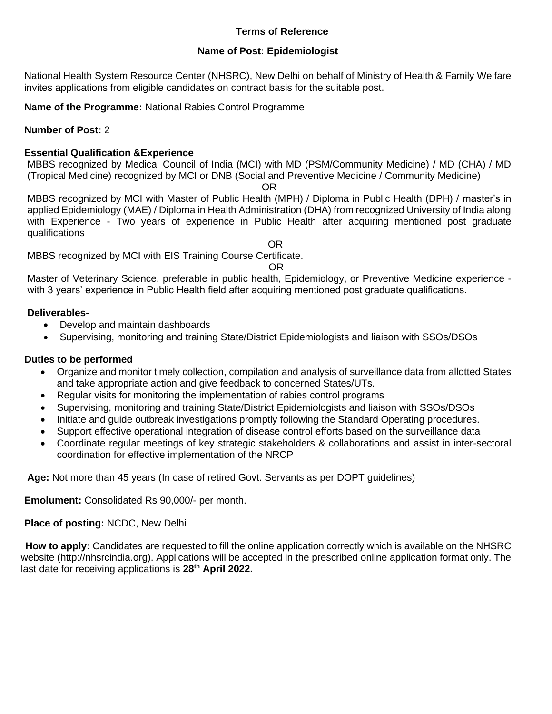#### **Terms of Reference**

#### **Name of Post: Epidemiologist**

National Health System Resource Center (NHSRC), New Delhi on behalf of Ministry of Health & Family Welfare invites applications from eligible candidates on contract basis for the suitable post.

**Name of the Programme:** National Rabies Control Programme

### **Number of Post:** 2

#### **Essential Qualification &Experience**

MBBS recognized by Medical Council of India (MCI) with MD (PSM/Community Medicine) / MD (CHA) / MD (Tropical Medicine) recognized by MCI or DNB (Social and Preventive Medicine / Community Medicine)

OR

MBBS recognized by MCI with Master of Public Health (MPH) / Diploma in Public Health (DPH) / master's in applied Epidemiology (MAE) / Diploma in Health Administration (DHA) from recognized University of India along with Experience - Two years of experience in Public Health after acquiring mentioned post graduate qualifications

**OR**  *OR* MBBS recognized by MCI with EIS Training Course Certificate.

#### OR

Master of Veterinary Science, preferable in public health, Epidemiology, or Preventive Medicine experience with 3 years' experience in Public Health field after acquiring mentioned post graduate qualifications.

#### **Deliverables-**

- Develop and maintain dashboards
- Supervising, monitoring and training State/District Epidemiologists and liaison with SSOs/DSOs

#### **Duties to be performed**

- Organize and monitor timely collection, compilation and analysis of surveillance data from allotted States and take appropriate action and give feedback to concerned States/UTs.
- Regular visits for monitoring the implementation of rabies control programs
- Supervising, monitoring and training State/District Epidemiologists and liaison with SSOs/DSOs
- Initiate and guide outbreak investigations promptly following the Standard Operating procedures.
- Support effective operational integration of disease control efforts based on the surveillance data
- Coordinate regular meetings of key strategic stakeholders & collaborations and assist in inter-sectoral coordination for effective implementation of the NRCP

**Age:** Not more than 45 years (In case of retired Govt. Servants as per DOPT guidelines)

**Emolument:** Consolidated Rs 90,000/- per month.

### **Place of posting:** NCDC, New Delhi

 **How to apply:** Candidates are requested to fill the online application correctly which is available on the NHSRC website (http://nhsrcindia.org). Applications will be accepted in the prescribed online application format only. The last date for receiving applications is 28<sup>th</sup> April 2022.